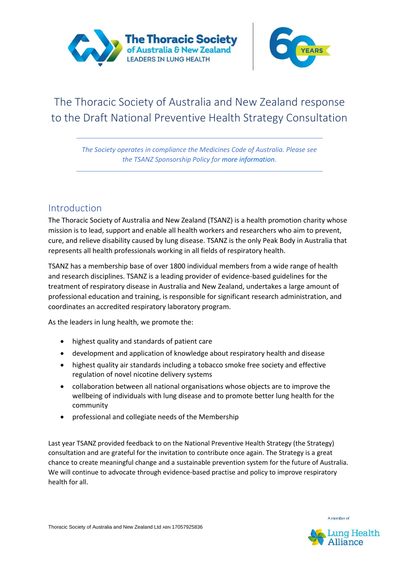



# The Thoracic Society of Australia and New Zealand response to the Draft National Preventive Health Strategy Consultation

*The Society operates in compliance the Medicines Code of Australia. Please see the TSANZ Sponsorship Policy for more information.*

# Introduction

The Thoracic Society of Australia and New Zealand (TSANZ) is a health promotion charity whose mission is to lead, support and enable all health workers and researchers who aim to prevent, cure, and relieve disability caused by lung disease. TSANZ is the only Peak Body in Australia that represents all health professionals working in all fields of respiratory health.

TSANZ has a membership base of over 1800 individual members from a wide range of health and research disciplines. TSANZ is a leading provider of evidence-based guidelines for the treatment of respiratory disease in Australia and New Zealand, undertakes a large amount of professional education and training, is responsible for significant research administration, and coordinates an accredited respiratory laboratory program.

As the leaders in lung health, we promote the:

- highest quality and standards of patient care
- development and application of knowledge about respiratory health and disease
- highest quality air standards including a tobacco smoke free society and effective regulation of novel nicotine delivery systems
- collaboration between all national organisations whose objects are to improve the wellbeing of individuals with lung disease and to promote better lung health for the community
- professional and collegiate needs of the Membership

Last year TSANZ provided feedback to on the National Preventive Health Strategy (the Strategy) consultation and are grateful for the invitation to contribute once again. The Strategy is a great chance to create meaningful change and a sustainable prevention system for the future of Australia. We will continue to advocate through evidence-based practise and policy to improve respiratory health for all.

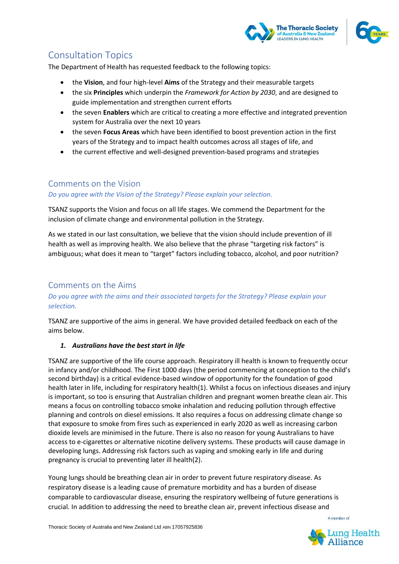



# Consultation Topics

The Department of Health has requested feedback to the following topics:

- the **Vision**, and four high-level **Aims** of the Strategy and their measurable targets
- the six **Principles** which underpin the *Framework for Action by 2030*, and are designed to guide implementation and strengthen current efforts
- the seven **Enablers** which are critical to creating a more effective and integrated prevention system for Australia over the next 10 years
- the seven **Focus Areas** which have been identified to boost prevention action in the first years of the Strategy and to impact health outcomes across all stages of life, and
- the current effective and well-designed prevention-based programs and strategies

# Comments on the Vision

# *Do you agree with the Vision of the Strategy? Please explain your selection.*

TSANZ supports the Vision and focus on all life stages. We commend the Department for the inclusion of climate change and environmental pollution in the Strategy.

As we stated in our last consultation, we believe that the vision should include prevention of ill health as well as improving health. We also believe that the phrase "targeting risk factors" is ambiguous; what does it mean to "target" factors including tobacco, alcohol, and poor nutrition?

# Comments on the Aims

# *Do you agree with the aims and their associated targets for the Strategy? Please explain your selection.*

TSANZ are supportive of the aims in general. We have provided detailed feedback on each of the aims below.

# *1. Australians have the best start in life*

TSANZ are supportive of the life course approach. Respiratory ill health is known to frequently occur in infancy and/or childhood. The First 1000 days (the period commencing at conception to the child's second birthday) is a critical evidence-based window of opportunity for the foundation of good health later in life, including for respiratory health(1). Whilst a focus on infectious diseases and injury is important, so too is ensuring that Australian children and pregnant women breathe clean air. This means a focus on controlling tobacco smoke inhalation and reducing pollution through effective planning and controls on diesel emissions. It also requires a focus on addressing climate change so that exposure to smoke from fires such as experienced in early 2020 as well as increasing carbon dioxide levels are minimised in the future. There is also no reason for young Australians to have access to e-cigarettes or alternative nicotine delivery systems. These products will cause damage in developing lungs. Addressing risk factors such as vaping and smoking early in life and during pregnancy is crucial to preventing later ill health(2).

Young lungs should be breathing clean air in order to prevent future respiratory disease. As respiratory disease is a leading cause of premature morbidity and has a burden of disease comparable to cardiovascular disease, ensuring the respiratory wellbeing of future generations is crucial. In addition to addressing the need to breathe clean air, prevent infectious disease and

Thoracic Society of Australia and New Zealand Ltd ABN 17057925836

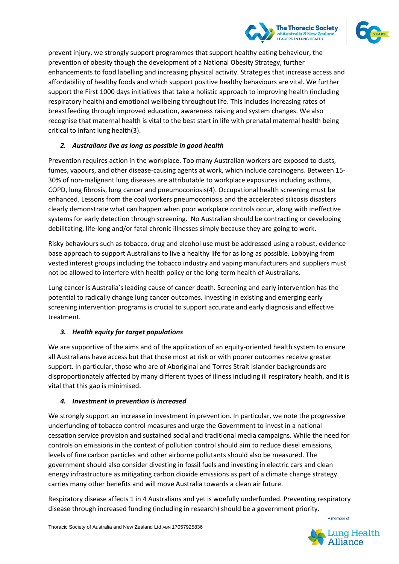

prevent injury, we strongly support programmes that support healthy eating behaviour, the prevention of obesity though the development of a National Obesity Strategy, further enhancements to food labelling and increasing physical activity. Strategies that increase access and affordability of healthy foods and which support positive healthy behaviours are vital. We further support the First 1000 days initiatives that take a holistic approach to improving health (including respiratory health) and emotional wellbeing throughout life. This includes increasing rates of breastfeeding through improved education, awareness raising and system changes. We also recognise that maternal health is vital to the best start in life with prenatal maternal health being critical to infant lung health(3).

# *2. Australians live as long as possible in good health*

Prevention requires action in the workplace. Too many Australian workers are exposed to dusts, fumes, vapours, and other disease-causing agents at work, which include carcinogens. Between 15- 30% of non-malignant lung diseases are attributable to workplace exposures including asthma, COPD, lung fibrosis, lung cancer and pneumoconiosis(4). Occupational health screening must be enhanced. Lessons from the coal workers pneumoconiosis and the accelerated silicosis disasters clearly demonstrate what can happen when poor workplace controls occur, along with ineffective systems for early detection through screening. No Australian should be contracting or developing debilitating, life-long and/or fatal chronic illnesses simply because they are going to work.

Risky behaviours such as tobacco, drug and alcohol use must be addressed using a robust, evidence base approach to support Australians to live a healthy life for as long as possible. Lobbying from vested interest groups including the tobacco industry and vaping manufacturers and suppliers must not be allowed to interfere with health policy or the long-term health of Australians.

Lung cancer is Australia's leading cause of cancer death. Screening and early intervention has the potential to radically change lung cancer outcomes. Investing in existing and emerging early screening intervention programs is crucial to support accurate and early diagnosis and effective treatment.

# *3. Health equity for target populations*

We are supportive of the aims and of the application of an equity-oriented health system to ensure all Australians have access but that those most at risk or with poorer outcomes receive greater support. In particular, those who are of Aboriginal and Torres Strait Islander backgrounds are disproportionately affected by many different types of illness including ill respiratory health, and it is vital that this gap is minimised.

# *4. Investment in prevention is increased*

We strongly support an increase in investment in prevention. In particular, we note the progressive underfunding of tobacco control measures and urge the Government to invest in a national cessation service provision and sustained social and traditional media campaigns. While the need for controls on emissions in the context of pollution control should aim to reduce diesel emissions, levels of fine carbon particles and other airborne pollutants should also be measured. The government should also consider divesting in fossil fuels and investing in electric cars and clean energy infrastructure as mitigating carbon dioxide emissions as part of a climate change strategy carries many other benefits and will move Australia towards a clean air future.

Respiratory disease affects 1 in 4 Australians and yet is woefully underfunded. Preventing respiratory disease through increased funding (including in research) should be a government priority.

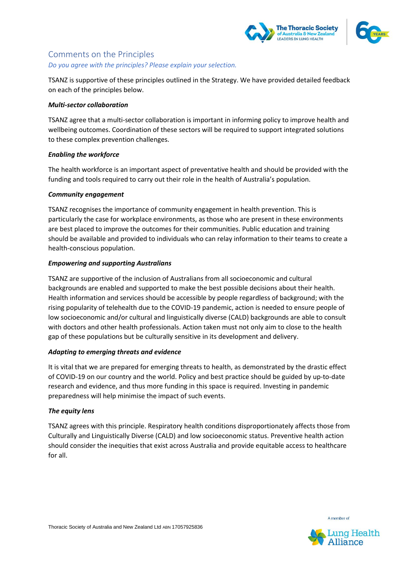



# Comments on the Principles

#### *Do you agree with the principles? Please explain your selection.*

TSANZ is supportive of these principles outlined in the Strategy. We have provided detailed feedback on each of the principles below.

#### *Multi-sector collaboration*

TSANZ agree that a multi-sector collaboration is important in informing policy to improve health and wellbeing outcomes. Coordination of these sectors will be required to support integrated solutions to these complex prevention challenges.

#### *Enabling the workforce*

The health workforce is an important aspect of preventative health and should be provided with the funding and tools required to carry out their role in the health of Australia's population.

#### *Community engagement*

TSANZ recognises the importance of community engagement in health prevention. This is particularly the case for workplace environments, as those who are present in these environments are best placed to improve the outcomes for their communities. Public education and training should be available and provided to individuals who can relay information to their teams to create a health-conscious population.

# *Empowering and supporting Australians*

TSANZ are supportive of the inclusion of Australians from all socioeconomic and cultural backgrounds are enabled and supported to make the best possible decisions about their health. Health information and services should be accessible by people regardless of background; with the rising popularity of telehealth due to the COVID-19 pandemic, action is needed to ensure people of low socioeconomic and/or cultural and linguistically diverse (CALD) backgrounds are able to consult with doctors and other health professionals. Action taken must not only aim to close to the health gap of these populations but be culturally sensitive in its development and delivery.

# *Adapting to emerging threats and evidence*

It is vital that we are prepared for emerging threats to health, as demonstrated by the drastic effect of COVID-19 on our country and the world. Policy and best practice should be guided by up-to-date research and evidence, and thus more funding in this space is required. Investing in pandemic preparedness will help minimise the impact of such events.

#### *The equity lens*

TSANZ agrees with this principle. Respiratory health conditions disproportionately affects those from Culturally and Linguistically Diverse (CALD) and low socioeconomic status. Preventive health action should consider the inequities that exist across Australia and provide equitable access to healthcare for all.

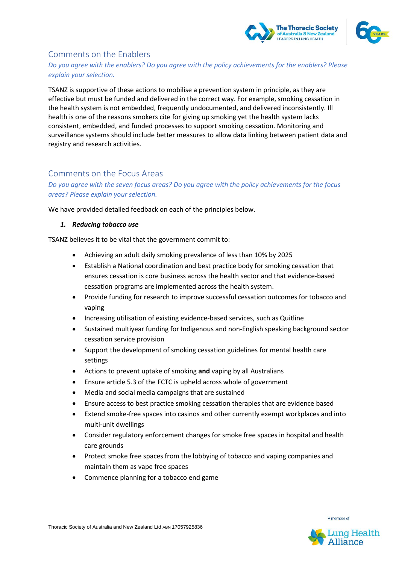



# Comments on the Enablers

# *Do you agree with the enablers? Do you agree with the policy achievements for the enablers? Please explain your selection.*

TSANZ is supportive of these actions to mobilise a prevention system in principle, as they are effective but must be funded and delivered in the correct way. For example, smoking cessation in the health system is not embedded, frequently undocumented, and delivered inconsistently. Ill health is one of the reasons smokers cite for giving up smoking yet the health system lacks consistent, embedded, and funded processes to support smoking cessation. Monitoring and surveillance systems should include better measures to allow data linking between patient data and registry and research activities.

# Comments on the Focus Areas

*Do you agree with the seven focus areas? Do you agree with the policy achievements for the focus areas? Please explain your selection.* 

We have provided detailed feedback on each of the principles below.

#### *1. Reducing tobacco use*

TSANZ believes it to be vital that the government commit to:

- Achieving an adult daily smoking prevalence of less than 10% by 2025
- Establish a National coordination and best practice body for smoking cessation that ensures cessation is core business across the health sector and that evidence-based cessation programs are implemented across the health system.
- Provide funding for research to improve successful cessation outcomes for tobacco and vaping
- Increasing utilisation of existing evidence-based services, such as Quitline
- Sustained multiyear funding for Indigenous and non-English speaking background sector cessation service provision
- Support the development of smoking cessation guidelines for mental health care settings
- Actions to prevent uptake of smoking **and** vaping by all Australians
- Ensure article 5.3 of the FCTC is upheld across whole of government
- Media and social media campaigns that are sustained
- Ensure access to best practice smoking cessation therapies that are evidence based
- Extend smoke-free spaces into casinos and other currently exempt workplaces and into multi-unit dwellings
- Consider regulatory enforcement changes for smoke free spaces in hospital and health care grounds
- Protect smoke free spaces from the lobbying of tobacco and vaping companies and maintain them as vape free spaces
- Commence planning for a tobacco end game



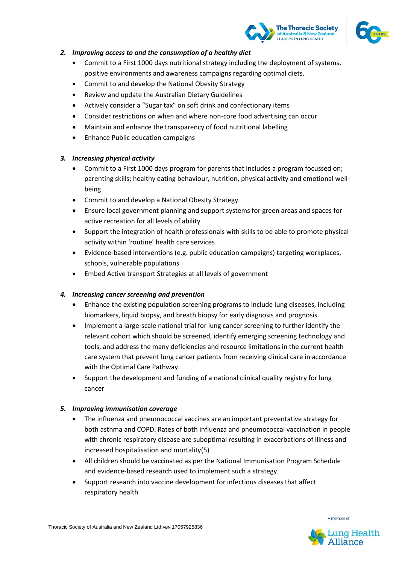



#### *2. Improving access to and the consumption of a healthy diet*

- Commit to a First 1000 days nutritional strategy including the deployment of systems, positive environments and awareness campaigns regarding optimal diets.
- Commit to and develop the National Obesity Strategy
- Review and update the Australian Dietary Guidelines
- Actively consider a "Sugar tax" on soft drink and confectionary items
- Consider restrictions on when and where non-core food advertising can occur
- Maintain and enhance the transparency of food nutritional labelling
- Enhance Public education campaigns

# *3. Increasing physical activity*

- Commit to a First 1000 days program for parents that includes a program focussed on; parenting skills; healthy eating behaviour, nutrition, physical activity and emotional wellbeing
- Commit to and develop a National Obesity Strategy
- Ensure local government planning and support systems for green areas and spaces for active recreation for all levels of ability
- Support the integration of health professionals with skills to be able to promote physical activity within 'routine' health care services
- Evidence-based interventions (e.g. public education campaigns) targeting workplaces, schools, vulnerable populations
- Embed Active transport Strategies at all levels of government

# *4. Increasing cancer screening and prevention*

- Enhance the existing population screening programs to include lung diseases, including biomarkers, liquid biopsy, and breath biopsy for early diagnosis and prognosis.
- Implement a large-scale national trial for lung cancer screening to further identify the relevant cohort which should be screened, identify emerging screening technology and tools, and address the many deficiencies and resource limitations in the current health care system that prevent lung cancer patients from receiving clinical care in accordance with the Optimal Care Pathway.
- Support the development and funding of a national clinical quality registry for lung cancer

# *5. Improving immunisation coverage*

- The influenza and pneumococcal vaccines are an important preventative strategy for both asthma and COPD. Rates of both influenza and pneumococcal vaccination in people with chronic respiratory disease are suboptimal resulting in exacerbations of illness and increased hospitalisation and mortality(5)
- All children should be vaccinated as per the National Immunisation Program Schedule and evidence-based research used to implement such a strategy.
- Support research into vaccine development for infectious diseases that affect respiratory health

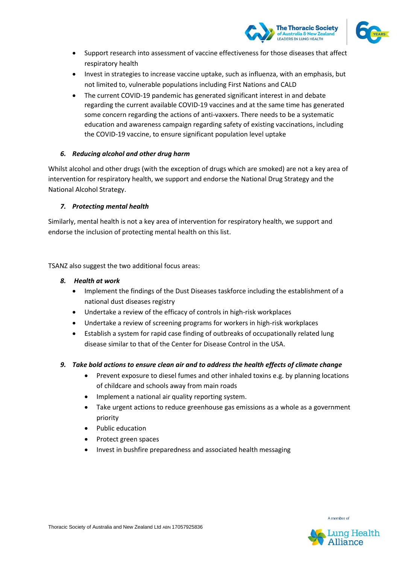



- Support research into assessment of vaccine effectiveness for those diseases that affect respiratory health
- Invest in strategies to increase vaccine uptake, such as influenza, with an emphasis, but not limited to, vulnerable populations including First Nations and CALD
- The current COVID-19 pandemic has generated significant interest in and debate regarding the current available COVID-19 vaccines and at the same time has generated some concern regarding the actions of anti-vaxxers. There needs to be a systematic education and awareness campaign regarding safety of existing vaccinations, including the COVID-19 vaccine, to ensure significant population level uptake

# *6. Reducing alcohol and other drug harm*

Whilst alcohol and other drugs (with the exception of drugs which are smoked) are not a key area of intervention for respiratory health, we support and endorse the National Drug Strategy and the National Alcohol Strategy.

#### *7. Protecting mental health*

Similarly, mental health is not a key area of intervention for respiratory health, we support and endorse the inclusion of protecting mental health on this list.

TSANZ also suggest the two additional focus areas:

#### *8. Health at work*

- Implement the findings of the Dust Diseases taskforce including the establishment of a national dust diseases registry
- Undertake a review of the efficacy of controls in high-risk workplaces
- Undertake a review of screening programs for workers in high-risk workplaces
- Establish a system for rapid case finding of outbreaks of occupationally related lung disease similar to that of the Center for Disease Control in the USA.

# *9. Take bold actions to ensure clean air and to address the health effects of climate change*

- Prevent exposure to diesel fumes and other inhaled toxins e.g. by planning locations of childcare and schools away from main roads
- Implement a national air quality reporting system.
- Take urgent actions to reduce greenhouse gas emissions as a whole as a government priority
- Public education
- Protect green spaces
- Invest in bushfire preparedness and associated health messaging

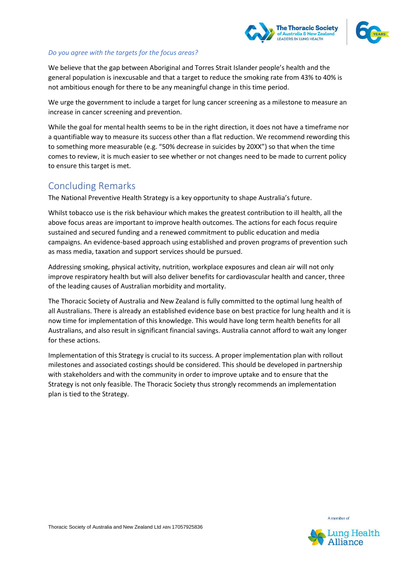



#### *Do you agree with the targets for the focus areas?*

We believe that the gap between Aboriginal and Torres Strait Islander people's health and the general population is inexcusable and that a target to reduce the smoking rate from 43% to 40% is not ambitious enough for there to be any meaningful change in this time period.

We urge the government to include a target for lung cancer screening as a milestone to measure an increase in cancer screening and prevention.

While the goal for mental health seems to be in the right direction, it does not have a timeframe nor a quantifiable way to measure its success other than a flat reduction. We recommend rewording this to something more measurable (e.g. "50% decrease in suicides by 20XX") so that when the time comes to review, it is much easier to see whether or not changes need to be made to current policy to ensure this target is met.

# Concluding Remarks

The National Preventive Health Strategy is a key opportunity to shape Australia's future.

Whilst tobacco use is the risk behaviour which makes the greatest contribution to ill health, all the above focus areas are important to improve health outcomes. The actions for each focus require sustained and secured funding and a renewed commitment to public education and media campaigns. An evidence-based approach using established and proven programs of prevention such as mass media, taxation and support services should be pursued.

Addressing smoking, physical activity, nutrition, workplace exposures and clean air will not only improve respiratory health but will also deliver benefits for cardiovascular health and cancer, three of the leading causes of Australian morbidity and mortality.

The Thoracic Society of Australia and New Zealand is fully committed to the optimal lung health of all Australians. There is already an established evidence base on best practice for lung health and it is now time for implementation of this knowledge. This would have long term health benefits for all Australians, and also result in significant financial savings. Australia cannot afford to wait any longer for these actions.

Implementation of this Strategy is crucial to its success. A proper implementation plan with rollout milestones and associated costings should be considered. This should be developed in partnership with stakeholders and with the community in order to improve uptake and to ensure that the Strategy is not only feasible. The Thoracic Society thus strongly recommends an implementation plan is tied to the Strategy.